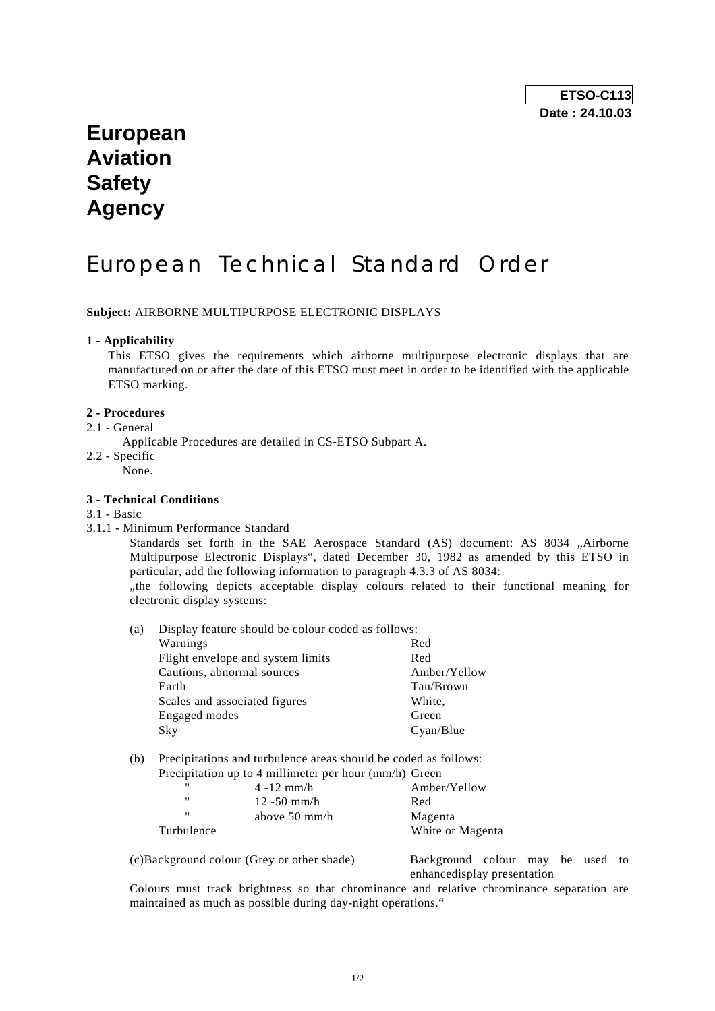## **European Aviation Safety Agency**

# European Technical Standard Order

**Subject:** AIRBORNE MULTIPURPOSE ELECTRONIC DISPLAYS

#### **1 - Applicability**

 This ETSO gives the requirements which airborne multipurpose electronic displays that are manufactured on or after the date of this ETSO must meet in order to be identified with the applicable ETSO marking.

#### **2 - Procedures**

- 2.1 General
	- Applicable Procedures are detailed in CS-ETSO Subpart A.
- 2.2 Specific
	- None.

#### **3 - Technical Conditions**

- 3.1 Basic
- 3.1.1 Minimum Performance Standard

Standards set forth in the SAE Aerospace Standard (AS) document: AS 8034 "Airborne Multipurpose Electronic Displays", dated December 30, 1982 as amended by this ETSO in particular, add the following information to paragraph 4.3.3 of AS 8034:

 "the following depicts acceptable display colours related to their functional meaning for electronic display systems:

| (a) | Display feature should be colour coded as follows: |              |  |
|-----|----------------------------------------------------|--------------|--|
|     | Warnings                                           | Red          |  |
|     | Flight envelope and system limits                  | Red          |  |
|     | Cautions, abnormal sources                         | Amber/Yellow |  |
|     | Earth                                              | Tan/Brown    |  |
|     | Scales and associated figures                      | White,       |  |
|     | Engaged modes                                      | Green        |  |
|     | Sky                                                | Cyan/Blue    |  |
|     |                                                    |              |  |

(b) Precipitations and turbulence areas should be coded as follows: Precipitation up to 4 millimeter per hour (mm/h) Green

|                   | Treephanon up to + imminities per nour (imm/ii) Oreen |                  |
|-------------------|-------------------------------------------------------|------------------|
| "                 | $4 - 12$ mm/h                                         | Amber/Yellow     |
| $^{\prime\prime}$ | 12 -50 mm/h                                           | Red              |
| $^{\prime\prime}$ | above $50 \text{ mm/h}$                               | Magenta          |
| Turbulence        |                                                       | White or Magenta |
|                   |                                                       |                  |

(c)Background colour (Grey or other shade) Background colour may be used to enhancedisplay presentation

 Colours must track brightness so that chrominance and relative chrominance separation are maintained as much as possible during day-night operations."